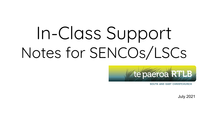# In-Class Support Notes for SENCOs/LSCs



SOUTH AND EAST CHRISTCHURCH

July 2021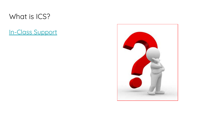## What is ICS?

[In-Class Support](https://www.education.govt.nz/school/student-support/special-education/in-class-support-funding/)

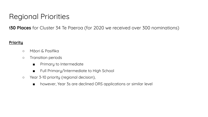## Regional Priorities

**130 Places** for Cluster 34 Te Paeroa (for 2020 we received over 300 nominations)

#### **Priority**

- Māori & Pasifika
- Transition periods
	- Primary to Intermediate
	- Full Primary/Intermediate to High School
- Year 3-10 priority (regional decision),
	- however, Year 3s are declined ORS applications or similar level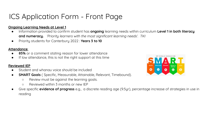## ICS Application Form - Front Page

#### **Ongoing Learning Needs at Level 1**

- Information provided to confirm student has **ongoing** learning needs within curriculum **Level 1 in both literacy and numeracy.** 'Priority learners with the most significant learning needs'. TKI
- Priority students for Canterbury 2022 : **Years 3 to 10**

#### **Attendance**:

- **85%** or a comment stating reason for lower attendance
- If low attendance, this is not the right support at this time

#### **Reviewed IEP**

- Student and whanau voice should be included
- **SMART Goals** ( Specific, Measurable, Attainable, Relevant, Timebound).
	- Review must be against the learning goals.
	- Reviewed within 3 months or new IEP
- Give specific **evidence of progress** e.g., a discrete reading age (9.5yr), percentage increase of strategies in use in reading

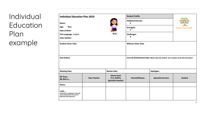# Individual Education Plan example

| <b>Individual Education Plan 2019</b>                                                                           |                      | <b>Student Profile:</b>                                          |                           |                                                                                        |                       |
|-----------------------------------------------------------------------------------------------------------------|----------------------|------------------------------------------------------------------|---------------------------|----------------------------------------------------------------------------------------|-----------------------|
| Name:                                                                                                           |                      |                                                                  | Hobbies/Interests:<br>٠   |                                                                                        |                       |
| Year:<br>Age:<br>Date of Birth:                                                                                 |                      |                                                                  | Strengths:<br>٠           |                                                                                        | LOGO <b>LEXT HERE</b> |
| First Language: English<br><b>Class Teacher:</b>                                                                |                      |                                                                  | <b>Challenges:</b>        |                                                                                        |                       |
| <b>Student Voice: Date</b>                                                                                      |                      |                                                                  | <b>Whanau Voice: Date</b> |                                                                                        |                       |
| Past history:                                                                                                   |                      |                                                                  |                           | Current Achievement Data: Where does the student sit in relation to the NZ Curriculum? |                       |
| <b>Meeting Date:</b>                                                                                            |                      | <b>Review Date:</b>                                              |                           | <b>Apologies:</b>                                                                      |                       |
| <b>IEP Team</b><br>My Role is                                                                                   | <b>Class Teacher</b> | <b>School Team</b><br>(T.A, SENCO,<br><b>Specialist teacher)</b> | Parent/Whänau             | <b>Specialist Services</b>                                                             | <b>Student</b>        |
| Name:                                                                                                           |                      |                                                                  |                           |                                                                                        |                       |
| I will<br>This section is completed at the end<br>of the meeting when the new IEP<br>goals have been agreed on. |                      |                                                                  |                           |                                                                                        |                       |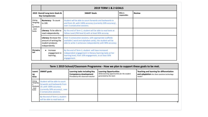|                                                           | 2019 TERM 1 & 2 GOALS                                                                 |                                                                                                                                                                                      |                         |               |  |  |  |  |
|-----------------------------------------------------------|---------------------------------------------------------------------------------------|--------------------------------------------------------------------------------------------------------------------------------------------------------------------------------------|-------------------------|---------------|--|--|--|--|
| 2019 Overall Long term Goals &<br><b>Key Competencies</b> |                                                                                       | <b>SMART Goals</b>                                                                                                                                                                   | Who is<br>responsible - | <b>Review</b> |  |  |  |  |
| Using<br>languag<br>symbols<br>and<br>texts               | Numeracy: To count<br>to 100.                                                         | Student will be able to count forwards and backwards to<br>and from 20, with 100% accuracy (currently 50% accuracy),<br>over 3 consecutive sessions.                                 |                         |               |  |  |  |  |
|                                                           | Literacy: To be able to<br>read independently.                                        | By the end of Term 2, student will be able to read texts at<br>Yellow Level (PM level 6) with at least 90% accuray.                                                                  |                         |               |  |  |  |  |
|                                                           | Literacy: Increase the<br>amount of writing the<br>student produces<br>independently. | Over 3 consecutive sessions, with appropriate scaffolds<br>available (word and alphabet cards), the student will be<br>able to write 2 sentences independently with 90% accuracy.    |                         |               |  |  |  |  |
| Managing<br>Self                                          | Increase<br>engagement in<br>learning.                                                | By the end of Term 2, student will have increased<br>independent engagement in literacy learning tasks at her<br>learning level, from 10% engagement, to at least 50%<br>engagement. |                         |               |  |  |  |  |

| Learni<br>ng<br>Area                      | <b>SMART</b> goals                                                                                                                                         | Learning tasks including Key<br>Competency development<br>Provided by the classroom teacher | <b>Learning Opportunities</b><br>Skills/Learning opportunities for the student<br>generated by the team | Teaching and learning for differentiation<br>and adaptation Are there pusistive technology<br>meeds? |
|-------------------------------------------|------------------------------------------------------------------------------------------------------------------------------------------------------------|---------------------------------------------------------------------------------------------|---------------------------------------------------------------------------------------------------------|------------------------------------------------------------------------------------------------------|
| <b>Using</b><br>languag<br>, and<br>texts | Student will be able to count<br>forwards and backwards from<br>symbols 20 with 100% accuracy<br>(currently 50% accuracy), over<br>3 consecutive sessions. |                                                                                             |                                                                                                         |                                                                                                      |
|                                           | By the end of Term 2, student<br>will be able to read texts at                                                                                             |                                                                                             |                                                                                                         |                                                                                                      |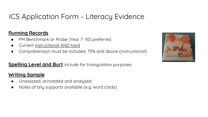# ICS Application Form - Literacy Evidence

## **Running Records**

- PM Benchmark or Probe (Year 7 -10) preferred
- Current instructional AND hard
- Comprehension must be included: 75% and above (instructional)

## **Spelling Level and Burt** include for triangulation purposes

### **Writing Sample**

- Unassisted, annotated and analysed
- Notes of any supports available (e.g. word cards)

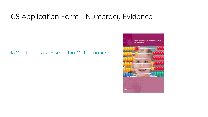## ICS Application Form - Numeracy Evidence

#### [JAM - Junior Assessment in Mathematics](https://nzmaths.co.nz/junior-assessment-mathematics)

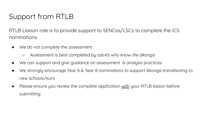# Support from RTLB

RTLB Liaison role is to provide support to SENCos/LSCs to complete the ICS nominations

- We do not complete the assessment
	- *○* Assessment is best completed by adults who know the ākonga
- We can support and give guidance on assessment  $\&$  analysis practices
- We strongly encourage Year 6 & Year 8 nominations to support ākonga transitioning to new schools/kura
- Please ensure you review the complete application with your RTLB liaison before submitting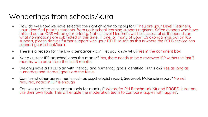## Wonderings from schools/kura

- How do we know we have selected the right children to apply for? They are your Level 1 learners, your identified priority students-from your school learning support registers. Often ākonga who have missed out on ORS will be your priority. Not all Level 1 learners will be successful as it depends on what nominations are submitted at this time. If one or many of your ICS ākonga miss out on ICS support, please discuss further support with your RTLB liaison as this is where the RTLB service can support your school/kura.
- There is a reason for the low attendance can I let you know why? Yes in the comment box
- Not a current IEP attached, does this matter? Yes, there needs to be a reviewed IEP within the last 3 months, with data from the last 3 months
- We only have a RTLB plan with <u>literacy and numeracy goals</u> identified, is this ok? Yes as long as numeracy and literacy goals are the focus
- Can I send other assessments such as psychologist report, Seabrook McKenzie report? No not required, noted in IEP is enough
- Can we use other assessment tools for reading? We prefer PM Benchmark Kit and PROBE, kura may use their own tools. This will enable the moderation team to compare 'apples with apples'.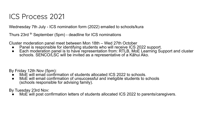## ICS Process 2021

Wednesday 7th July - ICS nomination form (2022) emailed to schools/kura

Thurs 23rd <sup>th</sup> September (5pm) - deadline for ICS nominations

Cluster moderation panel meet between Mon 18th – Wed 27th October

- Panel is responsible for identifying students who will receive ICS 2022 support.
- Each moderation panel is to have representation from: RTLB, MoE Learning Support and cluster schools. SENCO/LSC will be invited as a representative of a Kāhui Ako.

By Friday 12th Nov (5pm):

- MoE will email confirmation of students allocated ICS 2022 to schools.
- MoE will email confirmation of unsuccessful and ineligible students to schools (schools responsible for advising family).

By Tuesday 23rd Nov:

MoE will post confirmation letters of students allocated ICS 2022 to parents/caregivers.